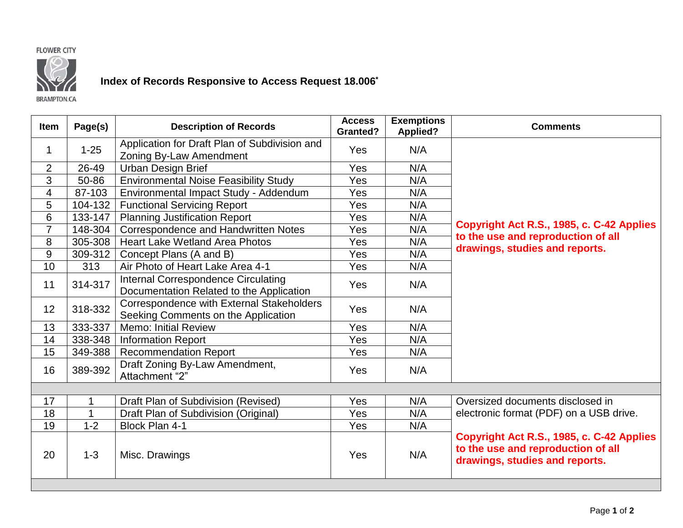



## **Index of Records Responsive to Access Request 18.006\***

**BRAMPTON.CA** 

| Item            | Page(s)  | <b>Description of Records</b>                                                          | <b>Access</b><br><b>Granted?</b> | <b>Exemptions</b><br><b>Applied?</b> | <b>Comments</b>                                                                                                   |
|-----------------|----------|----------------------------------------------------------------------------------------|----------------------------------|--------------------------------------|-------------------------------------------------------------------------------------------------------------------|
| 1               | $1 - 25$ | Application for Draft Plan of Subdivision and<br>Zoning By-Law Amendment               | Yes                              | N/A                                  |                                                                                                                   |
| $\overline{2}$  | 26-49    | <b>Urban Design Brief</b>                                                              | <b>Yes</b>                       | N/A                                  |                                                                                                                   |
| 3               | 50-86    | <b>Environmental Noise Feasibility Study</b>                                           | Yes                              | N/A                                  |                                                                                                                   |
| $\overline{4}$  | 87-103   | Environmental Impact Study - Addendum                                                  | Yes                              | N/A                                  |                                                                                                                   |
| 5               | 104-132  | <b>Functional Servicing Report</b>                                                     | Yes                              | N/A                                  |                                                                                                                   |
| $6\phantom{1}6$ | 133-147  | <b>Planning Justification Report</b>                                                   | Yes                              | N/A                                  |                                                                                                                   |
| $\overline{7}$  | 148-304  | Correspondence and Handwritten Notes                                                   | Yes                              | N/A                                  | Copyright Act R.S., 1985, c. C-42 Applies                                                                         |
| 8               | 305-308  | <b>Heart Lake Wetland Area Photos</b>                                                  | Yes                              | N/A                                  | to the use and reproduction of all                                                                                |
| 9               | 309-312  | Concept Plans (A and B)                                                                | <b>Yes</b>                       | N/A                                  | drawings, studies and reports.                                                                                    |
| 10              | 313      | Air Photo of Heart Lake Area 4-1                                                       | Yes                              | N/A                                  |                                                                                                                   |
| 11              | 314-317  | <b>Internal Correspondence Circulating</b><br>Documentation Related to the Application | Yes                              | N/A                                  |                                                                                                                   |
| 12              | 318-332  | Correspondence with External Stakeholders<br>Seeking Comments on the Application       | Yes                              | N/A                                  |                                                                                                                   |
| 13              | 333-337  | <b>Memo: Initial Review</b>                                                            | Yes                              | N/A                                  |                                                                                                                   |
| 14              | 338-348  | <b>Information Report</b>                                                              | <b>Yes</b>                       | N/A                                  |                                                                                                                   |
| 15              | 349-388  | <b>Recommendation Report</b>                                                           | Yes                              | N/A                                  |                                                                                                                   |
| 16              | 389-392  | Draft Zoning By-Law Amendment,<br>Attachment "2"                                       | Yes                              | N/A                                  |                                                                                                                   |
|                 |          |                                                                                        |                                  |                                      |                                                                                                                   |
| 17              | 1        | Draft Plan of Subdivision (Revised)                                                    | Yes                              | N/A                                  | Oversized documents disclosed in                                                                                  |
| 18              | 1        | Draft Plan of Subdivision (Original)                                                   | Yes                              | N/A                                  | electronic format (PDF) on a USB drive.                                                                           |
| 19              | $1 - 2$  | Block Plan 4-1                                                                         | Yes                              | N/A                                  |                                                                                                                   |
| 20              | $1 - 3$  | Misc. Drawings                                                                         | Yes                              | N/A                                  | Copyright Act R.S., 1985, c. C-42 Applies<br>to the use and reproduction of all<br>drawings, studies and reports. |
|                 |          |                                                                                        |                                  |                                      |                                                                                                                   |